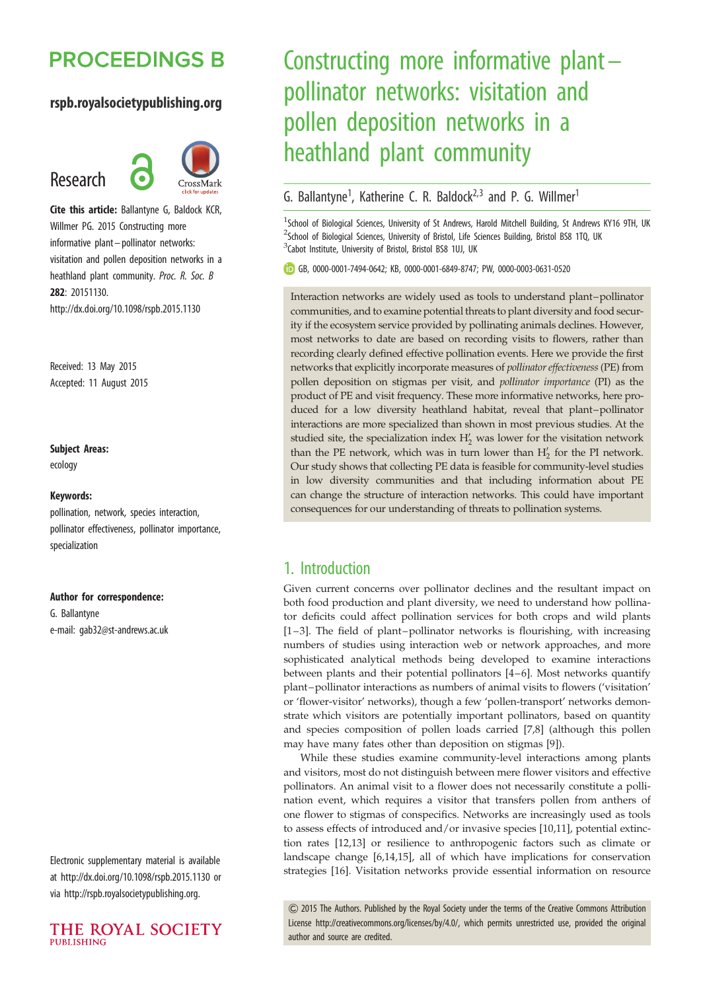# **PROCEEDINGS B**

#### rspb.royalsocietypublishing.org

# Research



Cite this article: Ballantyne G, Baldock KCR, Willmer PG. 2015 Constructing more informative plant –pollinator networks: visitation and pollen deposition networks in a heathland plant community. Proc. R. Soc. B 282: 20151130. http://dx.doi.org/10.1098/rspb.2015.1130

Received: 13 May 2015 Accepted: 11 August 2015

#### Subject Areas:

ecology

#### Keywords:

pollination, network, species interaction, pollinator effectiveness, pollinator importance, specialization

#### Author for correspondence:

G. Ballantyne e-mail: [gab32@st-andrews.ac.uk](mailto:gab32@st-andrews.ac.uk)

Electronic supplementary material is available at http://dx.doi.org/10.1098/rspb.2015.1130 or via http://rspb.royalsocietypublishing.org.



# Constructing more informative plant – pollinator networks: visitation and pollen deposition networks in a heathland plant community

## G. Ballantyne<sup>1</sup>, Katherine C. R. Baldock<sup>2,3</sup> and P. G. Willmer<sup>1</sup>

<sup>1</sup>School of Biological Sciences, University of St Andrews, Harold Mitchell Building, St Andrews KY16 9TH, UK <sup>2</sup>School of Biological Sciences, University of Bristol, Life Sciences Building, Bristol BS8 1TQ, UK <sup>3</sup>Cabot Institute, University of Bristol, Bristol BS8 1UJ, UK

GB, [0000-0001-7494-0642](http://orcid.org/0000-0001-7494-0642); KB, [0000-0001-6849-8747;](http://orcid.org/0000-0001-6849-8747) PW, [0000-0003-0631-0520](http://orcid.org/0000-0003-0631-0520)

Interaction networks are widely used as tools to understand plant–pollinator communities, and to examine potential threats to plant diversity and food security if the ecosystem service provided by pollinating animals declines. However, most networks to date are based on recording visits to flowers, rather than recording clearly defined effective pollination events. Here we provide the first networks that explicitly incorporate measures of pollinator effectiveness (PE) from pollen deposition on stigmas per visit, and pollinator importance (PI) as the product of PE and visit frequency. These more informative networks, here produced for a low diversity heathland habitat, reveal that plant–pollinator interactions are more specialized than shown in most previous studies. At the studied site, the specialization index  $H_2'$  was lower for the visitation network than the PE network, which was in turn lower than  $H_2'$  for the PI network. Our study shows that collecting PE data is feasible for community-level studies in low diversity communities and that including information about PE can change the structure of interaction networks. This could have important consequences for our understanding of threats to pollination systems.

# 1. Introduction

Given current concerns over pollinator declines and the resultant impact on both food production and plant diversity, we need to understand how pollinator deficits could affect pollination services for both crops and wild plants [[1](#page-7-0)-3]. The field of plant-pollinator networks is flourishing, with increasing numbers of studies using interaction web or network approaches, and more sophisticated analytical methods being developed to examine interactions between plants and their potential pollinators [\[4](#page-7-0)–[6](#page-7-0)]. Most networks quantify plant –pollinator interactions as numbers of animal visits to flowers ('visitation' or 'flower-visitor' networks), though a few 'pollen-transport' networks demonstrate which visitors are potentially important pollinators, based on quantity and species composition of pollen loads carried [[7](#page-7-0),[8](#page-7-0)] (although this pollen may have many fates other than deposition on stigmas [\[9\]](#page-7-0)).

While these studies examine community-level interactions among plants and visitors, most do not distinguish between mere flower visitors and effective pollinators. An animal visit to a flower does not necessarily constitute a pollination event, which requires a visitor that transfers pollen from anthers of one flower to stigmas of conspecifics. Networks are increasingly used as tools to assess effects of introduced and/or invasive species [\[10,11](#page-7-0)], potential extinction rates [\[12](#page-7-0),[13\]](#page-7-0) or resilience to anthropogenic factors such as climate or landscape change [[6](#page-7-0),[14,15\]](#page-7-0), all of which have implications for conservation strategies [\[16](#page-7-0)]. Visitation networks provide essential information on resource

& 2015 The Authors. Published by the Royal Society under the terms of the Creative Commons Attribution License [http://creativecommons.org/licenses/by/4.0/, which permits unrestricted use, provided the original](http://creativecommons.org/licenses/by/4.0/) [author and source are credited.](http://creativecommons.org/licenses/by/4.0/)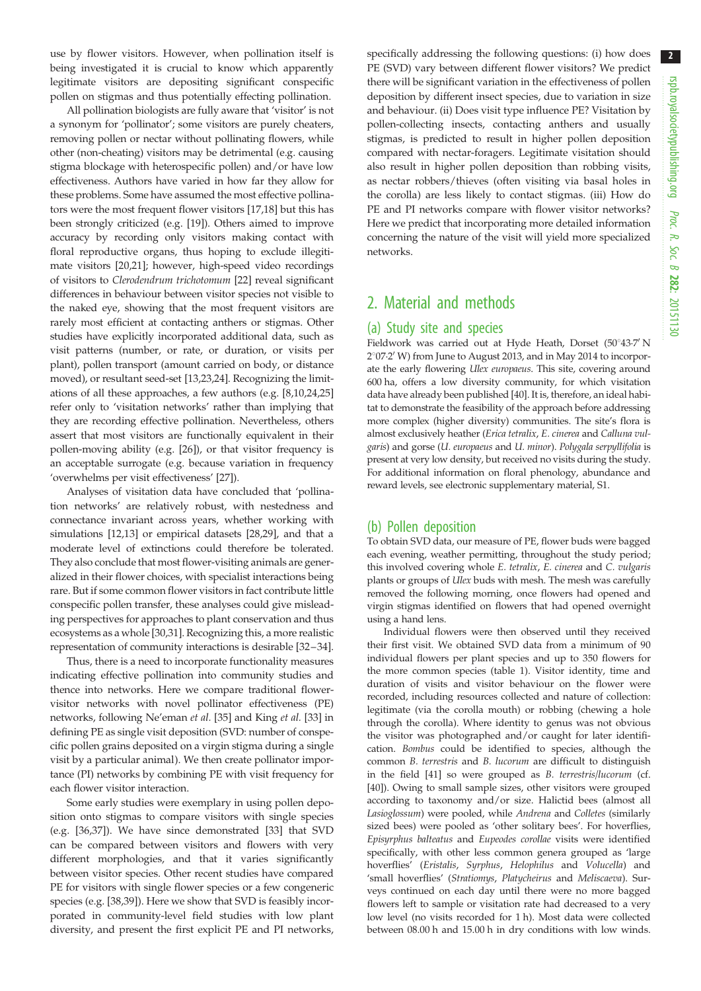use by flower visitors. However, when pollination itself is being investigated it is crucial to know which apparently legitimate visitors are depositing significant conspecific pollen on stigmas and thus potentially effecting pollination.

All pollination biologists are fully aware that 'visitor' is not a synonym for 'pollinator'; some visitors are purely cheaters, removing pollen or nectar without pollinating flowers, while other (non-cheating) visitors may be detrimental (e.g. causing stigma blockage with heterospecific pollen) and/or have low effectiveness. Authors have varied in how far they allow for these problems. Some have assumed the most effective pollinators were the most frequent flower visitors [[17,18\]](#page-7-0) but this has been strongly criticized (e.g. [[19\]](#page-7-0)). Others aimed to improve accuracy by recording only visitors making contact with floral reproductive organs, thus hoping to exclude illegitimate visitors [[20,](#page-7-0)[21\]](#page-8-0); however, high-speed video recordings of visitors to Clerodendrum trichotomum [[22\]](#page-8-0) reveal significant differences in behaviour between visitor species not visible to the naked eye, showing that the most frequent visitors are rarely most efficient at contacting anthers or stigmas. Other studies have explicitly incorporated additional data, such as visit patterns (number, or rate, or duration, or visits per plant), pollen transport (amount carried on body, or distance moved), or resultant seed-set [[13,](#page-7-0)[23,24\]](#page-8-0). Recognizing the limitations of all these approaches, a few authors (e.g. [[8,10](#page-7-0),[24](#page-8-0),[25\]](#page-8-0) refer only to 'visitation networks' rather than implying that they are recording effective pollination. Nevertheless, others assert that most visitors are functionally equivalent in their pollen-moving ability (e.g. [[26\]](#page-8-0)), or that visitor frequency is an acceptable surrogate (e.g. because variation in frequency 'overwhelms per visit effectiveness' [\[27](#page-8-0)]).

Analyses of visitation data have concluded that 'pollination networks' are relatively robust, with nestedness and connectance invariant across years, whether working with simulations [\[12](#page-7-0),[13](#page-7-0)] or empirical datasets [[28,29](#page-8-0)], and that a moderate level of extinctions could therefore be tolerated. They also conclude that most flower-visiting animals are generalized in their flower choices, with specialist interactions being rare. But if some common flower visitors in fact contribute little conspecific pollen transfer, these analyses could give misleading perspectives for approaches to plant conservation and thus ecosystems as a whole [[30](#page-8-0),[31\]](#page-8-0). Recognizing this, a more realistic representation of community interactions is desirable [\[32](#page-8-0)–[34](#page-8-0)].

Thus, there is a need to incorporate functionality measures indicating effective pollination into community studies and thence into networks. Here we compare traditional flowervisitor networks with novel pollinator effectiveness (PE) networks, following Ne'eman et al. [[35\]](#page-8-0) and King et al. [\[33](#page-8-0)] in defining PE as single visit deposition (SVD: number of conspecific pollen grains deposited on a virgin stigma during a single visit by a particular animal). We then create pollinator importance (PI) networks by combining PE with visit frequency for each flower visitor interaction.

Some early studies were exemplary in using pollen deposition onto stigmas to compare visitors with single species (e.g. [[36,37](#page-8-0)]). We have since demonstrated [\[33](#page-8-0)] that SVD can be compared between visitors and flowers with very different morphologies, and that it varies significantly between visitor species. Other recent studies have compared PE for visitors with single flower species or a few congeneric species (e.g. [[38,39](#page-8-0)]). Here we show that SVD is feasibly incorporated in community-level field studies with low plant diversity, and present the first explicit PE and PI networks, specifically addressing the following questions: (i) how does PE (SVD) vary between different flower visitors? We predict there will be significant variation in the effectiveness of pollen deposition by different insect species, due to variation in size and behaviour. (ii) Does visit type influence PE? Visitation by pollen-collecting insects, contacting anthers and usually stigmas, is predicted to result in higher pollen deposition compared with nectar-foragers. Legitimate visitation should also result in higher pollen deposition than robbing visits, as nectar robbers/thieves (often visiting via basal holes in the corolla) are less likely to contact stigmas. (iii) How do PE and PI networks compare with flower visitor networks? Here we predict that incorporating more detailed information concerning the nature of the visit will yield more specialized networks.

# 2. Material and methods

#### (a) Study site and species

Fieldwork was carried out at Hyde Heath, Dorset (50°43.7' N  $2^{\circ}07.2'$  W) from June to August 2013, and in May 2014 to incorporate the early flowering Ulex europaeus. This site, covering around 600 ha, offers a low diversity community, for which visitation data have already been published [[40](#page-8-0)]. It is, therefore, an ideal habitat to demonstrate the feasibility of the approach before addressing more complex (higher diversity) communities. The site's flora is almost exclusively heather (Erica tetralix, E. cinerea and Calluna vulgaris) and gorse (U. europaeus and U. minor). Polygala serpyllifolia is present at very low density, but received no visits during the study. For additional information on floral phenology, abundance and reward levels, see electronic supplementary material, S1.

#### (b) Pollen deposition

To obtain SVD data, our measure of PE, flower buds were bagged each evening, weather permitting, throughout the study period; this involved covering whole E. tetralix, E. cinerea and C. vulgaris plants or groups of Ulex buds with mesh. The mesh was carefully removed the following morning, once flowers had opened and virgin stigmas identified on flowers that had opened overnight using a hand lens.

Individual flowers were then observed until they received their first visit. We obtained SVD data from a minimum of 90 individual flowers per plant species and up to 350 flowers for the more common species ([table 1\)](#page-2-0). Visitor identity, time and duration of visits and visitor behaviour on the flower were recorded, including resources collected and nature of collection: legitimate (via the corolla mouth) or robbing (chewing a hole through the corolla). Where identity to genus was not obvious the visitor was photographed and/or caught for later identification. Bombus could be identified to species, although the common B. terrestris and B. lucorum are difficult to distinguish in the field [[41](#page-8-0)] so were grouped as B. terrestris/lucorum (cf. [[40](#page-8-0)]). Owing to small sample sizes, other visitors were grouped according to taxonomy and/or size. Halictid bees (almost all Lasioglossum) were pooled, while Andrena and Colletes (similarly sized bees) were pooled as 'other solitary bees'. For hoverflies, Episyrphus balteatus and Eupeodes corollae visits were identified specifically, with other less common genera grouped as 'large hoverflies' (Eristalis, Syrphus, Helophilus and Volucella) and 'small hoverflies' (Stratiomys, Platycheirus and Meliscaeva). Surveys continued on each day until there were no more bagged flowers left to sample or visitation rate had decreased to a very low level (no visits recorded for 1 h). Most data were collected between 08.00 h and 15.00 h in dry conditions with low winds.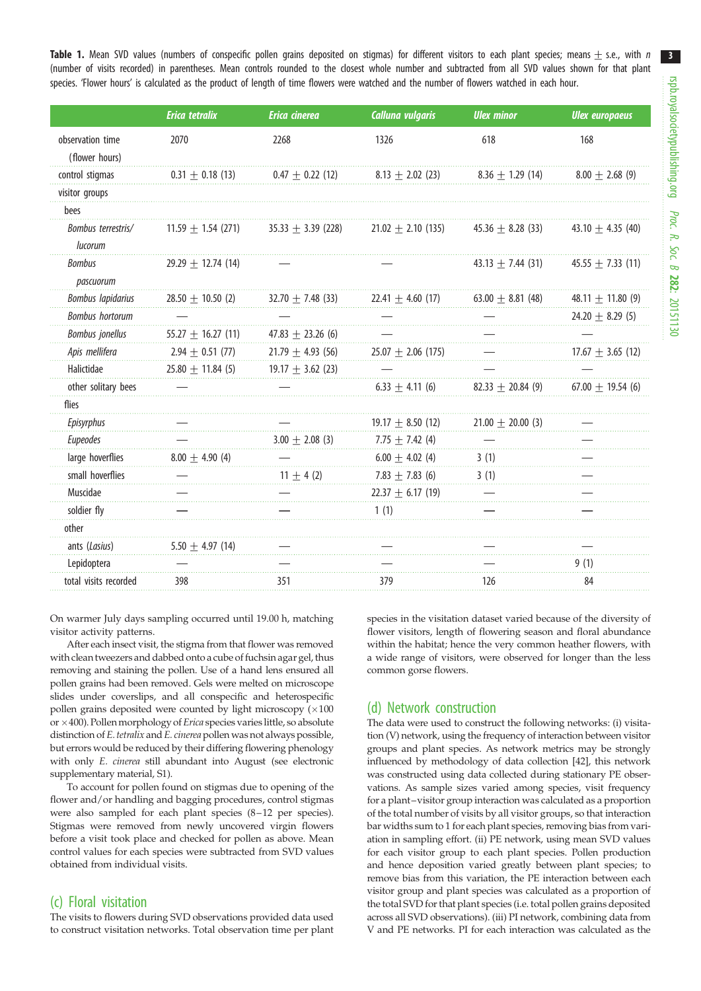3

<span id="page-2-0"></span>**Table 1.** Mean SVD values (numbers of conspecific pollen grains deposited on stigmas) for different visitors to each plant species; means  $\pm$  s.e., with n (number of visits recorded) in parentheses. Mean controls rounded to the closest whole number and subtracted from all SVD values shown for that plant species. 'Flower hours' is calculated as the product of length of time flowers were watched and the number of flowers watched in each hour.

|                               | <b>Erica tetralix</b>  | <b>Erica cinerea</b>  | <b>Calluna vulgaris</b> | <b>Ulex minor</b>     | <b>Ulex europaeus</b> |
|-------------------------------|------------------------|-----------------------|-------------------------|-----------------------|-----------------------|
| observation time              | 2070                   | 2268                  | 1326                    | 618                   | 168                   |
| (flower hours)                |                        |                       |                         |                       |                       |
| control stigmas               | $0.31 \pm 0.18$ (13)   | $0.47 \pm 0.22$ (12)  | $8.13 \pm 2.02$ (23)    | $8.36 \pm 1.29$ (14)  | $8.00 \pm 2.68$ (9)   |
| visitor groups                |                        |                       |                         |                       |                       |
| bees                          |                        |                       |                         |                       |                       |
| Bombus terrestris/<br>lucorum | $11.59 + 1.54(271)$    | $35.33 + 3.39$ (228)  | $21.02 + 2.10$ (135)    | $45.36 + 8.28(33)$    | $43.10 + 4.35(40)$    |
| <b>Bombus</b><br>pascuorum    | 29.29 $\pm$ 12.74 (14) |                       |                         | 43.13 $\pm$ 7.44 (31) | 45.55 $\pm$ 7.33 (11) |
| <b>Bombus lapidarius</b>      | $28.50 \pm 10.50$ (2)  | 32.70 $\pm$ 7.48 (33) | $22.41 \pm 4.60$ (17)   | 63.00 $\pm$ 8.81 (48) | 48.11 $\pm$ 11.80 (9) |
| <b>Bombus</b> hortorum        |                        |                       |                         |                       | 24.20 $\pm$ 8.29 (5)  |
| <b>Bombus</b> jonellus        | 55.27 $\pm$ 16.27 (11) | 47.83 $\pm$ 23.26 (6) |                         |                       |                       |
| Apis mellifera                | $2.94 \pm 0.51$ (77)   | $21.79 \pm 4.93$ (56) | $25.07 \pm 2.06$ (175)  |                       | $17.67 \pm 3.65$ (12) |
| Halictidae                    | 25.80 $\pm$ 11.84 (5)  | 19.17 $\pm$ 3.62 (23) |                         |                       |                       |
| other solitary bees           |                        |                       | $6.33 \pm 4.11$ (6)     | 82.33 $\pm$ 20.84 (9) | 67.00 $\pm$ 19.54 (6) |
| flies                         |                        |                       |                         |                       |                       |
| Episyrphus                    |                        |                       | 19.17 $\pm$ 8.50 (12)   | 21.00 $\pm$ 20.00 (3) |                       |
| Eupeodes                      |                        | $3.00 \pm 2.08$ (3)   | 7.75 $\pm$ 7.42 (4)     |                       |                       |
| large hoverflies              | $8.00 + 4.90(4)$       |                       | $6.00 \pm 4.02$ (4)     | 3(1)                  |                       |
| small hoverflies              |                        | $11 \pm 4$ (2)        | 7.83 $\pm$ 7.83 (6)     | 3(1)                  |                       |
| Muscidae                      |                        |                       | $22.37 \pm 6.17$ (19)   |                       |                       |
| soldier fly                   |                        |                       | 1(1)                    |                       |                       |
| other                         |                        |                       |                         |                       |                       |
| ants (Lasius)                 | 5.50 $\pm$ 4.97 (14)   |                       |                         |                       |                       |
| Lepidoptera                   |                        |                       |                         |                       | 9(1)                  |
| total visits recorded         | 398                    | 351                   | 379                     | 126                   | 84                    |

On warmer July days sampling occurred until 19.00 h, matching visitor activity patterns.

After each insect visit, the stigma from that flower was removed with clean tweezers and dabbed onto a cube of fuchsin agar gel, thus removing and staining the pollen. Use of a hand lens ensured all pollen grains had been removed. Gels were melted on microscope slides under coverslips, and all conspecific and heterospecific pollen grains deposited were counted by light microscopy ( $\times 100$ or ×400). Pollen morphology of Erica species varies little, so absolute distinction of E. tetralix and E. cinerea pollen was not always possible, but errors would be reduced by their differing flowering phenology with only E. cinerea still abundant into August (see electronic supplementary material, S1).

To account for pollen found on stigmas due to opening of the flower and/or handling and bagging procedures, control stigmas were also sampled for each plant species (8–12 per species). Stigmas were removed from newly uncovered virgin flowers before a visit took place and checked for pollen as above. Mean control values for each species were subtracted from SVD values obtained from individual visits.

#### (c) Floral visitation

The visits to flowers during SVD observations provided data used to construct visitation networks. Total observation time per plant species in the visitation dataset varied because of the diversity of flower visitors, length of flowering season and floral abundance within the habitat; hence the very common heather flowers, with a wide range of visitors, were observed for longer than the less common gorse flowers.

## (d) Network construction

The data were used to construct the following networks: (i) visitation (V) network, using the frequency of interaction between visitor groups and plant species. As network metrics may be strongly influenced by methodology of data collection [[42](#page-8-0)], this network was constructed using data collected during stationary PE observations. As sample sizes varied among species, visit frequency for a plant–visitor group interaction was calculated as a proportion of the total number of visits by all visitor groups, so that interaction bar widths sum to 1 for each plant species, removing bias from variation in sampling effort. (ii) PE network, using mean SVD values for each visitor group to each plant species. Pollen production and hence deposition varied greatly between plant species; to remove bias from this variation, the PE interaction between each visitor group and plant species was calculated as a proportion of the total SVD for that plant species (i.e. total pollen grains deposited across all SVD observations). (iii) PI network, combining data from V and PE networks. PI for each interaction was calculated as the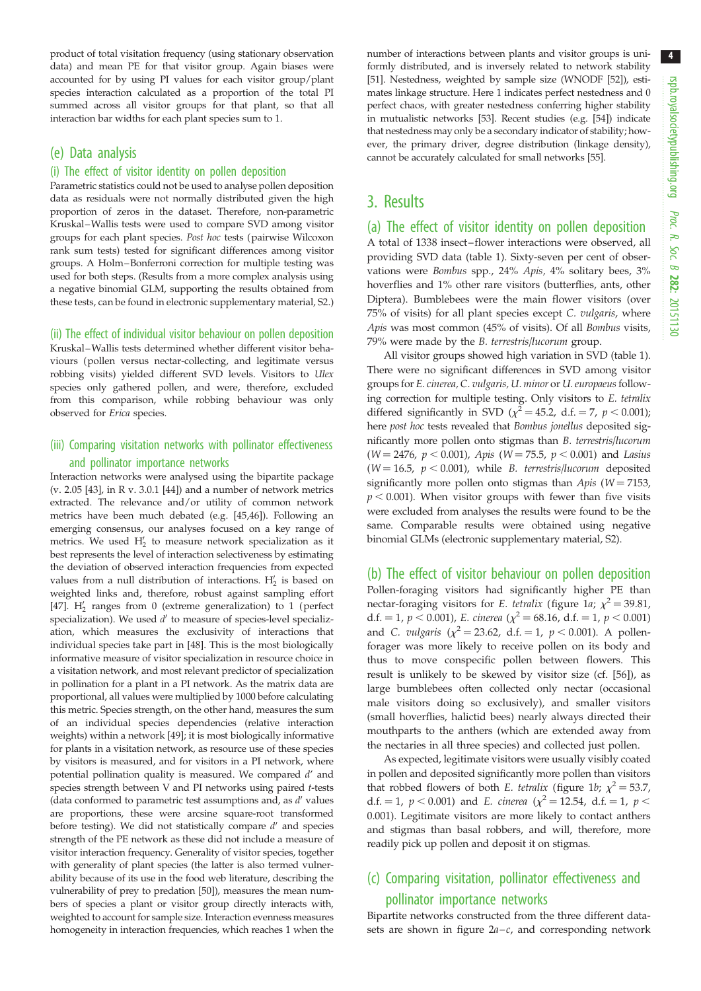product of total visitation frequency (using stationary observation data) and mean PE for that visitor group. Again biases were accounted for by using PI values for each visitor group/plant species interaction calculated as a proportion of the total PI summed across all visitor groups for that plant, so that all interaction bar widths for each plant species sum to 1.

#### (e) Data analysis

#### (i) The effect of visitor identity on pollen deposition

Parametric statistics could not be used to analyse pollen deposition data as residuals were not normally distributed given the high proportion of zeros in the dataset. Therefore, non-parametric Kruskal–Wallis tests were used to compare SVD among visitor groups for each plant species. Post hoc tests (pairwise Wilcoxon rank sum tests) tested for significant differences among visitor groups. A Holm–Bonferroni correction for multiple testing was used for both steps. (Results from a more complex analysis using a negative binomial GLM, supporting the results obtained from these tests, can be found in electronic supplementary material, S2.)

#### (ii) The effect of individual visitor behaviour on pollen deposition

Kruskal –Wallis tests determined whether different visitor behaviours (pollen versus nectar-collecting, and legitimate versus robbing visits) yielded different SVD levels. Visitors to Ulex species only gathered pollen, and were, therefore, excluded from this comparison, while robbing behaviour was only observed for Erica species.

#### (iii) Comparing visitation networks with pollinator effectiveness and pollinator importance networks

Interaction networks were analysed using the bipartite package (v. 2.05 [[43](#page-8-0)], in R v. 3.0.1 [[44](#page-8-0)]) and a number of network metrics extracted. The relevance and/or utility of common network metrics have been much debated (e.g. [\[45,46](#page-8-0)]). Following an emerging consensus, our analyses focused on a key range of metrics. We used  $H_2'$  to measure network specialization as it best represents the level of interaction selectiveness by estimating the deviation of observed interaction frequencies from expected values from a null distribution of interactions.  $H_2'$  is based on weighted links and, therefore, robust against sampling effort [\[47\]](#page-8-0).  $H_2'$  ranges from 0 (extreme generalization) to 1 (perfect specialization). We used  $d'$  to measure of species-level specialization, which measures the exclusivity of interactions that individual species take part in [[48](#page-8-0)]. This is the most biologically informative measure of visitor specialization in resource choice in a visitation network, and most relevant predictor of specialization in pollination for a plant in a PI network. As the matrix data are proportional, all values were multiplied by 1000 before calculating this metric. Species strength, on the other hand, measures the sum of an individual species dependencies (relative interaction weights) within a network [[49](#page-8-0)]; it is most biologically informative for plants in a visitation network, as resource use of these species by visitors is measured, and for visitors in a PI network, where potential pollination quality is measured. We compared d' and species strength between V and PI networks using paired t-tests (data conformed to parametric test assumptions and, as  $d'$  values are proportions, these were arcsine square-root transformed before testing). We did not statistically compare  $d'$  and species strength of the PE network as these did not include a measure of visitor interaction frequency. Generality of visitor species, together with generality of plant species (the latter is also termed vulnerability because of its use in the food web literature, describing the vulnerability of prey to predation [\[50\]](#page-8-0)), measures the mean numbers of species a plant or visitor group directly interacts with, weighted to account for sample size. Interaction evenness measures homogeneity in interaction frequencies, which reaches 1 when the

number of interactions between plants and visitor groups is uniformly distributed, and is inversely related to network stability [\[51\]](#page-8-0). Nestedness, weighted by sample size (WNODF [\[52\]](#page-8-0)), estimates linkage structure. Here 1 indicates perfect nestedness and 0 perfect chaos, with greater nestedness conferring higher stability in mutualistic networks [[53](#page-8-0)]. Recent studies (e.g. [\[54\]](#page-8-0)) indicate that nestedness may only be a secondary indicator of stability; however, the primary driver, degree distribution (linkage density), cannot be accurately calculated for small networks [[55\]](#page-8-0).

# 3. Results

(a) The effect of visitor identity on pollen deposition A total of 1338 insect – flower interactions were observed, all providing SVD data ([table 1\)](#page-2-0). Sixty-seven per cent of observations were Bombus spp., 24% Apis, 4% solitary bees, 3% hoverflies and 1% other rare visitors (butterflies, ants, other Diptera). Bumblebees were the main flower visitors (over 75% of visits) for all plant species except C. vulgaris, where Apis was most common (45% of visits). Of all Bombus visits, 79% were made by the B. terrestris/lucorum group.

All visitor groups showed high variation in SVD ([table 1\)](#page-2-0). There were no significant differences in SVD among visitor groups for E. cinerea, C. vulgaris, U. minor or U. europaeus following correction for multiple testing. Only visitors to E. tetralix differed significantly in SVD ( $\chi^2 = 45.2$ , d.f. = 7, p < 0.001); here post hoc tests revealed that Bombus jonellus deposited significantly more pollen onto stigmas than B. terrestris/lucorum ( $W = 2476$ ,  $p < 0.001$ ), Apis ( $W = 75.5$ ,  $p < 0.001$ ) and Lasius ( $W = 16.5$ ,  $p < 0.001$ ), while B. terrestris/lucorum deposited significantly more pollen onto stigmas than  $Apis$  ( $W = 7153$ ,  $p < 0.001$ ). When visitor groups with fewer than five visits were excluded from analyses the results were found to be the same. Comparable results were obtained using negative binomial GLMs (electronic supplementary material, S2).

#### (b) The effect of visitor behaviour on pollen deposition

Pollen-foraging visitors had significantly higher PE than nectar-foraging visitors for E. tetralix ([figure 1](#page-4-0)a;  $\chi^2 = 39.81$ , d.f. = 1,  $p < 0.001$ ), E. cinerea ( $\chi^2 = 68.16$ , d.f. = 1,  $p < 0.001$ ) and C. vulgaris ( $\chi^2 = 23.62$ , d.f. = 1, p < 0.001). A pollenforager was more likely to receive pollen on its body and thus to move conspecific pollen between flowers. This result is unlikely to be skewed by visitor size (cf. [\[56](#page-8-0)]), as large bumblebees often collected only nectar (occasional male visitors doing so exclusively), and smaller visitors (small hoverflies, halictid bees) nearly always directed their mouthparts to the anthers (which are extended away from the nectaries in all three species) and collected just pollen.

As expected, legitimate visitors were usually visibly coated in pollen and deposited significantly more pollen than visitors that robbed flowers of both *E. tetralix* [\(figure 1](#page-4-0)*b*;  $\chi^2 = 53.7$ , d.f. = 1,  $p < 0.001$ ) and E. cinerea ( $\chi^2 = 12.54$ , d.f. = 1,  $p <$ 0.001). Legitimate visitors are more likely to contact anthers and stigmas than basal robbers, and will, therefore, more readily pick up pollen and deposit it on stigmas.

# (c) Comparing visitation, pollinator effectiveness and pollinator importance networks

Bipartite networks constructed from the three different datasets are shown in figure  $2a-c$ , and corresponding network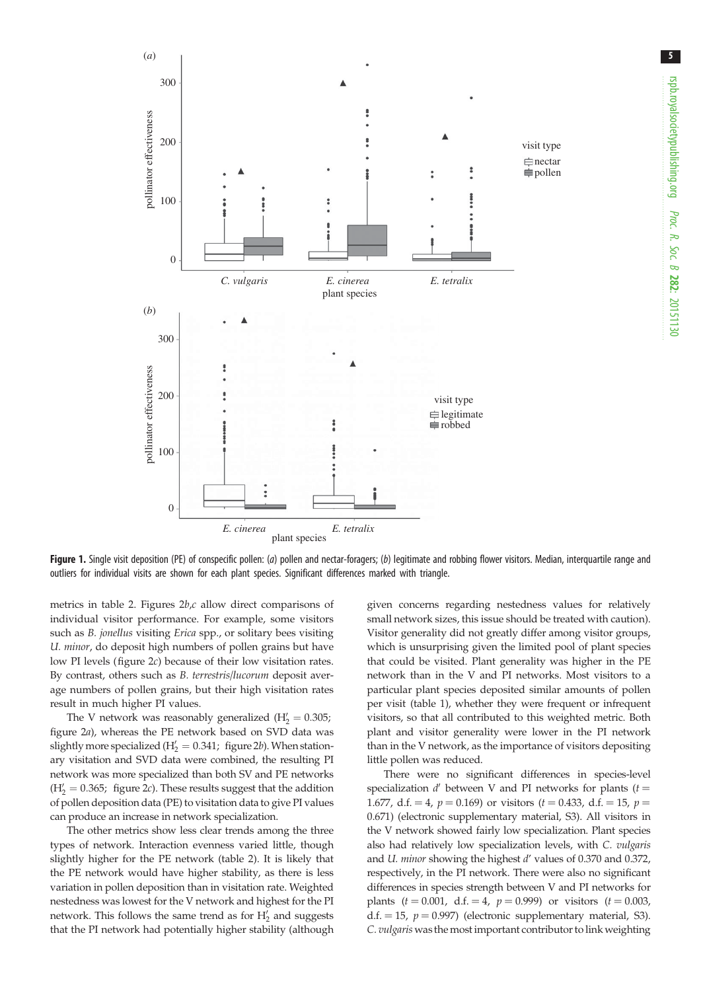<span id="page-4-0"></span>

Figure 1. Single visit deposition (PE) of conspecific pollen: (a) pollen and nectar-foragers; (b) legitimate and robbing flower visitors. Median, interquartile range and outliers for individual visits are shown for each plant species. Significant differences marked with triangle.

metrics in [table 2.](#page-6-0) Figures  $2b$ , c allow direct comparisons of individual visitor performance. For example, some visitors such as B. jonellus visiting Erica spp., or solitary bees visiting U. minor, do deposit high numbers of pollen grains but have low PI levels [\(figure 2](#page-5-0)c) because of their low visitation rates. By contrast, others such as B. terrestris/lucorum deposit average numbers of pollen grains, but their high visitation rates result in much higher PI values.

The V network was reasonably generalized  $(H'_2 = 0.305;$ [figure 2](#page-5-0)a), whereas the PE network based on SVD data was slightly more specialized ( $H'_2 = 0.341$ ; [figure 2](#page-5-0)b). When stationary visitation and SVD data were combined, the resulting PI network was more specialized than both SV and PE networks  $(H_2' = 0.365;$  [figure 2](#page-5-0)c). These results suggest that the addition of pollen deposition data (PE) to visitation data to give PI values can produce an increase in network specialization.

The other metrics show less clear trends among the three types of network. Interaction evenness varied little, though slightly higher for the PE network [\(table 2](#page-6-0)). It is likely that the PE network would have higher stability, as there is less variation in pollen deposition than in visitation rate. Weighted nestedness was lowest for the V network and highest for the PI network. This follows the same trend as for  $H'_2$  and suggests that the PI network had potentially higher stability (although

given concerns regarding nestedness values for relatively small network sizes, this issue should be treated with caution). Visitor generality did not greatly differ among visitor groups, which is unsurprising given the limited pool of plant species that could be visited. Plant generality was higher in the PE network than in the V and PI networks. Most visitors to a particular plant species deposited similar amounts of pollen per visit [\(table 1](#page-2-0)), whether they were frequent or infrequent visitors, so that all contributed to this weighted metric. Both plant and visitor generality were lower in the PI network than in the V network, as the importance of visitors depositing little pollen was reduced.

There were no significant differences in species-level specialization  $d'$  between V and PI networks for plants ( $t =$ 1.677, d.f. = 4,  $p = 0.169$ ) or visitors (t = 0.433, d.f. = 15,  $p =$ 0.671) (electronic supplementary material, S3). All visitors in the V network showed fairly low specialization. Plant species also had relatively low specialization levels, with C. vulgaris and U. minor showing the highest d' values of 0.370 and 0.372, respectively, in the PI network. There were also no significant differences in species strength between V and PI networks for plants ( $t = 0.001$ , d.f.  $= 4$ ,  $p = 0.999$ ) or visitors ( $t = 0.003$ , d.f. = 15,  $p = 0.997$ ) (electronic supplementary material, S3). C. vulgaris was the most important contributor to link weighting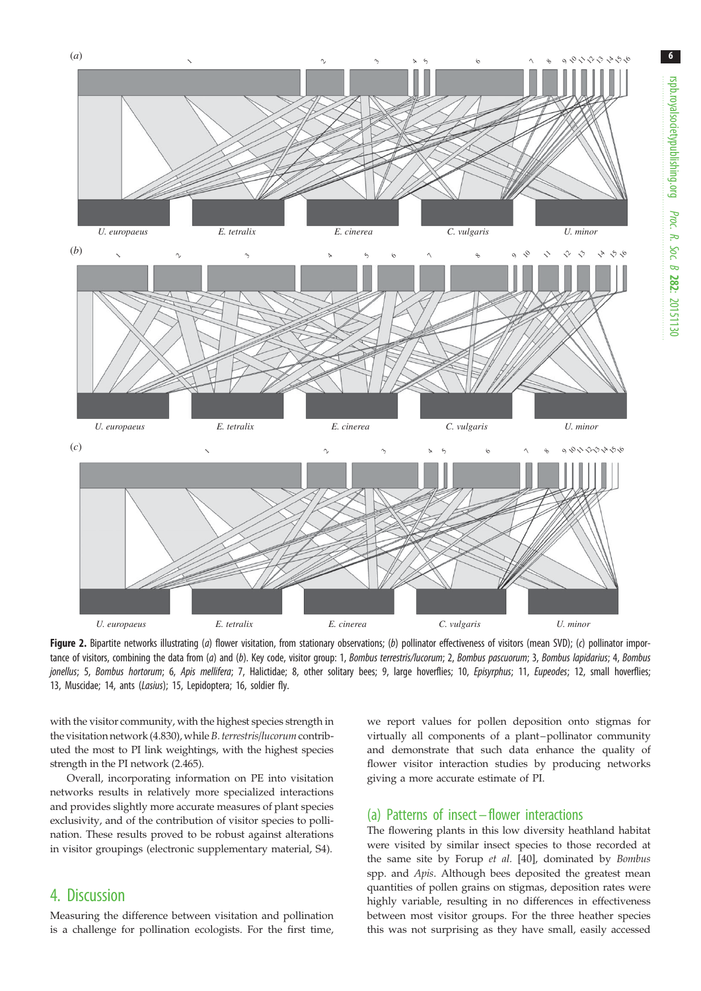6

<span id="page-5-0"></span>

Figure 2. Bipartite networks illustrating (a) flower visitation, from stationary observations; (b) pollinator effectiveness of visitors (mean SVD); (c) pollinator importance of visitors, combining the data from (a) and (b). Key code, visitor group: 1, Bombus terrestris/lucorum; 2, Bombus pascuorum; 3, Bombus lapidarius; 4, Bombus jonellus; 5, Bombus hortorum; 6, Apis mellifera; 7, Halictidae; 8, other solitary bees; 9, large hoverflies; 10, Episyrphus; 11, Eupeodes; 12, small hoverflies; 13, Muscidae; 14, ants (Lasius); 15, Lepidoptera; 16, soldier fly.

with the visitor community, with the highest species strength in the visitation network (4.830), while B. terrestris/lucorumcontributed the most to PI link weightings, with the highest species strength in the PI network (2.465).

Overall, incorporating information on PE into visitation networks results in relatively more specialized interactions and provides slightly more accurate measures of plant species exclusivity, and of the contribution of visitor species to pollination. These results proved to be robust against alterations in visitor groupings (electronic supplementary material, S4).

# 4. Discussion

Measuring the difference between visitation and pollination is a challenge for pollination ecologists. For the first time, we report values for pollen deposition onto stigmas for virtually all components of a plant –pollinator community and demonstrate that such data enhance the quality of flower visitor interaction studies by producing networks giving a more accurate estimate of PI.

#### (a) Patterns of insect –flower interactions

The flowering plants in this low diversity heathland habitat were visited by similar insect species to those recorded at the same site by Forup et al. [[40\]](#page-8-0), dominated by Bombus spp. and Apis. Although bees deposited the greatest mean quantities of pollen grains on stigmas, deposition rates were highly variable, resulting in no differences in effectiveness between most visitor groups. For the three heather species this was not surprising as they have small, easily accessed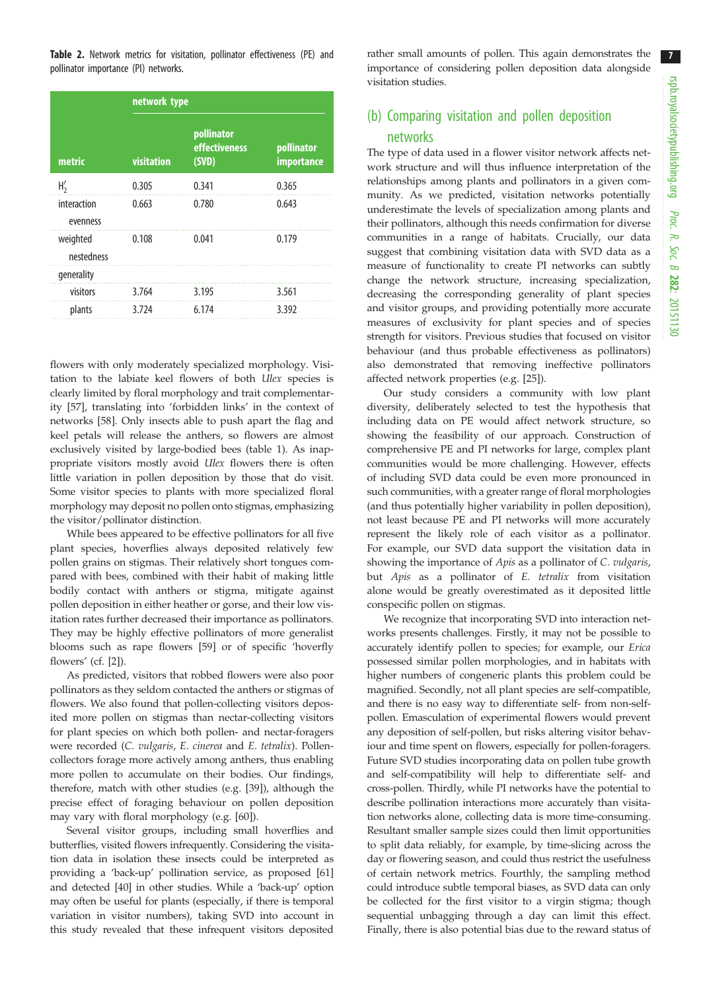<span id="page-6-0"></span>Table 2. Network metrics for visitation, pollinator effectiveness (PE) and pollinator importance (PI) networks.

|                         | network type |                                             |                          |  |  |
|-------------------------|--------------|---------------------------------------------|--------------------------|--|--|
| metric                  | visitation   | pollinator<br><b>effectiveness</b><br>(SVD) | pollinator<br>importance |  |  |
| $H'_2$                  | 0.305        | 0.341                                       | 0.365                    |  |  |
| interaction<br>evenness | 0.663        | 0.780                                       | 0.643                    |  |  |
| weighted<br>nestedness  | 0.108        | 0.041                                       | 0.179                    |  |  |
| generality              |              |                                             |                          |  |  |
| visitors                | 3.764        | 3.195                                       | 3.561                    |  |  |
| plants                  | 3.724        | 6.174                                       | 3.392                    |  |  |

flowers with only moderately specialized morphology. Visitation to the labiate keel flowers of both Ulex species is clearly limited by floral morphology and trait complementarity [[57\]](#page-8-0), translating into 'forbidden links' in the context of networks [[58\]](#page-8-0). Only insects able to push apart the flag and keel petals will release the anthers, so flowers are almost exclusively visited by large-bodied bees ([table 1](#page-2-0)). As inappropriate visitors mostly avoid Ulex flowers there is often little variation in pollen deposition by those that do visit. Some visitor species to plants with more specialized floral morphology may deposit no pollen onto stigmas, emphasizing the visitor/pollinator distinction.

While bees appeared to be effective pollinators for all five plant species, hoverflies always deposited relatively few pollen grains on stigmas. Their relatively short tongues compared with bees, combined with their habit of making little bodily contact with anthers or stigma, mitigate against pollen deposition in either heather or gorse, and their low visitation rates further decreased their importance as pollinators. They may be highly effective pollinators of more generalist blooms such as rape flowers [[59\]](#page-8-0) or of specific 'hoverfly flowers' (cf. [[2](#page-7-0)]).

As predicted, visitors that robbed flowers were also poor pollinators as they seldom contacted the anthers or stigmas of flowers. We also found that pollen-collecting visitors deposited more pollen on stigmas than nectar-collecting visitors for plant species on which both pollen- and nectar-foragers were recorded (C. vulgaris, E. cinerea and E. tetralix). Pollencollectors forage more actively among anthers, thus enabling more pollen to accumulate on their bodies. Our findings, therefore, match with other studies (e.g. [[39\]](#page-8-0)), although the precise effect of foraging behaviour on pollen deposition may vary with floral morphology (e.g. [[60\]](#page-8-0)).

Several visitor groups, including small hoverflies and butterflies, visited flowers infrequently. Considering the visitation data in isolation these insects could be interpreted as providing a 'back-up' pollination service, as proposed [[61\]](#page-8-0) and detected [\[40](#page-8-0)] in other studies. While a 'back-up' option may often be useful for plants (especially, if there is temporal variation in visitor numbers), taking SVD into account in this study revealed that these infrequent visitors deposited

rather small amounts of pollen. This again demonstrates the importance of considering pollen deposition data alongside visitation studies.

# (b) Comparing visitation and pollen deposition networks

The type of data used in a flower visitor network affects network structure and will thus influence interpretation of the relationships among plants and pollinators in a given community. As we predicted, visitation networks potentially underestimate the levels of specialization among plants and their pollinators, although this needs confirmation for diverse communities in a range of habitats. Crucially, our data suggest that combining visitation data with SVD data as a measure of functionality to create PI networks can subtly change the network structure, increasing specialization, decreasing the corresponding generality of plant species and visitor groups, and providing potentially more accurate measures of exclusivity for plant species and of species strength for visitors. Previous studies that focused on visitor behaviour (and thus probable effectiveness as pollinators) also demonstrated that removing ineffective pollinators affected network properties (e.g. [\[25](#page-8-0)]).

Our study considers a community with low plant diversity, deliberately selected to test the hypothesis that including data on PE would affect network structure, so showing the feasibility of our approach. Construction of comprehensive PE and PI networks for large, complex plant communities would be more challenging. However, effects of including SVD data could be even more pronounced in such communities, with a greater range of floral morphologies (and thus potentially higher variability in pollen deposition), not least because PE and PI networks will more accurately represent the likely role of each visitor as a pollinator. For example, our SVD data support the visitation data in showing the importance of Apis as a pollinator of C. vulgaris, but Apis as a pollinator of E. tetralix from visitation alone would be greatly overestimated as it deposited little conspecific pollen on stigmas.

We recognize that incorporating SVD into interaction networks presents challenges. Firstly, it may not be possible to accurately identify pollen to species; for example, our Erica possessed similar pollen morphologies, and in habitats with higher numbers of congeneric plants this problem could be magnified. Secondly, not all plant species are self-compatible, and there is no easy way to differentiate self- from non-selfpollen. Emasculation of experimental flowers would prevent any deposition of self-pollen, but risks altering visitor behaviour and time spent on flowers, especially for pollen-foragers. Future SVD studies incorporating data on pollen tube growth and self-compatibility will help to differentiate self- and cross-pollen. Thirdly, while PI networks have the potential to describe pollination interactions more accurately than visitation networks alone, collecting data is more time-consuming. Resultant smaller sample sizes could then limit opportunities to split data reliably, for example, by time-slicing across the day or flowering season, and could thus restrict the usefulness of certain network metrics. Fourthly, the sampling method could introduce subtle temporal biases, as SVD data can only be collected for the first visitor to a virgin stigma; though sequential unbagging through a day can limit this effect. Finally, there is also potential bias due to the reward status of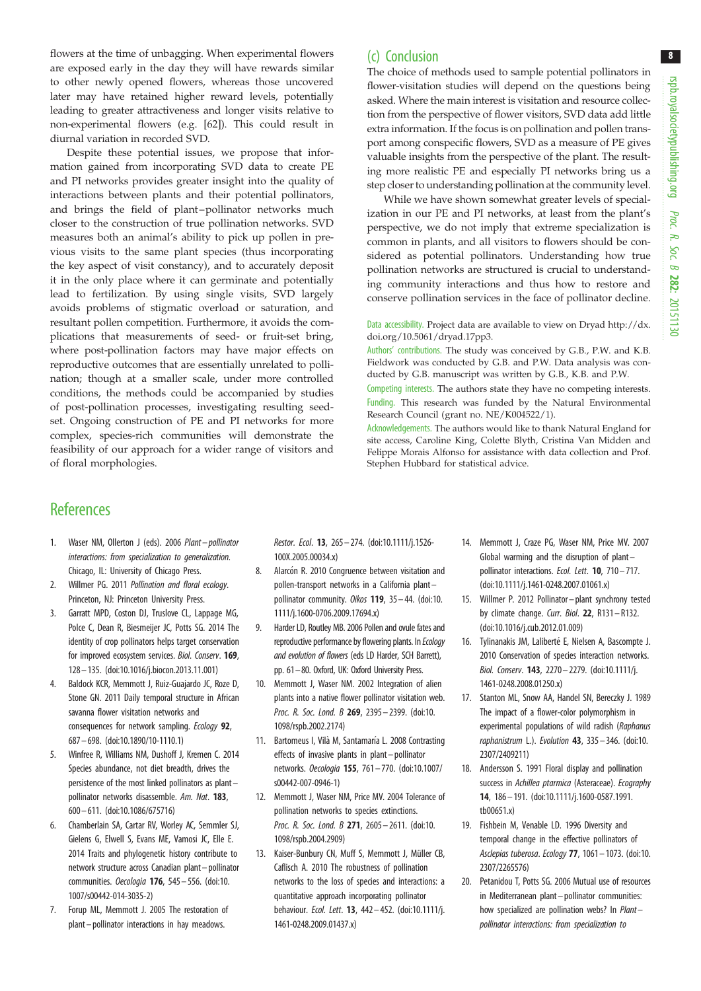8

<span id="page-7-0"></span>flowers at the time of unbagging. When experimental flowers are exposed early in the day they will have rewards similar to other newly opened flowers, whereas those uncovered later may have retained higher reward levels, potentially leading to greater attractiveness and longer visits relative to non-experimental flowers (e.g. [\[62\]](#page-8-0)). This could result in diurnal variation in recorded SVD.

Despite these potential issues, we propose that information gained from incorporating SVD data to create PE and PI networks provides greater insight into the quality of interactions between plants and their potential pollinators, and brings the field of plant –pollinator networks much closer to the construction of true pollination networks. SVD measures both an animal's ability to pick up pollen in previous visits to the same plant species (thus incorporating the key aspect of visit constancy), and to accurately deposit it in the only place where it can germinate and potentially lead to fertilization. By using single visits, SVD largely avoids problems of stigmatic overload or saturation, and resultant pollen competition. Furthermore, it avoids the complications that measurements of seed- or fruit-set bring, where post-pollination factors may have major effects on reproductive outcomes that are essentially unrelated to pollination; though at a smaller scale, under more controlled conditions, the methods could be accompanied by studies of post-pollination processes, investigating resulting seedset. Ongoing construction of PE and PI networks for more complex, species-rich communities will demonstrate the feasibility of our approach for a wider range of visitors and of floral morphologies.

## (c) Conclusion

The choice of methods used to sample potential pollinators in flower-visitation studies will depend on the questions being asked. Where the main interest is visitation and resource collection from the perspective of flower visitors, SVD data add little extra information. If the focus is on pollination and pollen transport among conspecific flowers, SVD as a measure of PE gives valuable insights from the perspective of the plant. The resulting more realistic PE and especially PI networks bring us a step closer to understanding pollination at the community level.

While we have shown somewhat greater levels of specialization in our PE and PI networks, at least from the plant's perspective, we do not imply that extreme specialization is common in plants, and all visitors to flowers should be considered as potential pollinators. Understanding how true pollination networks are structured is crucial to understanding community interactions and thus how to restore and conserve pollination services in the face of pollinator decline.

Data accessibility. Project data are available to view on Dryad [http://dx.](http://dx.doi.org/10.5061/dryad.17pp3) [doi.org/10.5061/dryad.17pp3.](http://dx.doi.org/10.5061/dryad.17pp3)

Authors' contributions. The study was conceived by G.B., P.W. and K.B. Fieldwork was conducted by G.B. and P.W. Data analysis was conducted by G.B. manuscript was written by G.B., K.B. and P.W.

Competing interests. The authors state they have no competing interests. Funding. This research was funded by the Natural Environmental Research Council (grant no. NE/K004522/1).

Acknowledgements. The authors would like to thank Natural England for site access, Caroline King, Colette Blyth, Cristina Van Midden and Felippe Morais Alfonso for assistance with data collection and Prof. Stephen Hubbard for statistical advice.

# **References**

- 1. Waser NM, Ollerton J (eds). 2006 Plant-pollinator interactions: from specialization to generalization. Chicago, IL: University of Chicago Press.
- 2. Willmer PG. 2011 Pollination and floral ecology. Princeton, NJ: Princeton University Press.
- 3. Garratt MPD, Coston DJ, Truslove CL, Lappage MG, Polce C, Dean R, Biesmeijer JC, Potts SG. 2014 The identity of crop pollinators helps target conservation for improved ecosystem services. Biol. Conserv. 169, 128– 135. ([doi:10.1016/j.biocon.2013.11.001\)](http://dx.doi.org/10.1016/j.biocon.2013.11.001)
- 4. Baldock KCR, Memmott J, Ruiz-Guajardo JC, Roze D, Stone GN. 2011 Daily temporal structure in African savanna flower visitation networks and consequences for network sampling. Ecology 92, 687– 698. ([doi:10.1890/10-1110.1\)](http://dx.doi.org/10.1890/10-1110.1)
- 5. Winfree R, Williams NM, Dushoff J, Kremen C. 2014 Species abundance, not diet breadth, drives the persistence of the most linked pollinators as plant – pollinator networks disassemble. Am. Nat. 183, 600– 611. ([doi:10.1086/675716](http://dx.doi.org/10.1086/675716))
- 6. Chamberlain SA, Cartar RV, Worley AC, Semmler SJ, Gielens G, Elwell S, Evans ME, Vamosi JC, Elle E. 2014 Traits and phylogenetic history contribute to network structure across Canadian plant-pollinator communities. Oecologia 176, 545– 556. [\(doi:10.](http://dx.doi.org/10.1007/s00442-014-3035-2) [1007/s00442-014-3035-2\)](http://dx.doi.org/10.1007/s00442-014-3035-2)
- 7. Forup ML, Memmott J. 2005 The restoration of plant –pollinator interactions in hay meadows.

Restor. Ecol. 13, 265– 274. ([doi:10.1111/j.1526-](http://dx.doi.org/10.1111/j.1526-100X.2005.00034.x) [100X.2005.00034.x\)](http://dx.doi.org/10.1111/j.1526-100X.2005.00034.x)

- 8. Alarcón R. 2010 Congruence between visitation and pollen-transport networks in a California plant – pollinator community. Oikos 119, 35-44. [\(doi:10.](http://dx.doi.org/10.1111/j.1600-0706.2009.17694.x) [1111/j.1600-0706.2009.17694.x](http://dx.doi.org/10.1111/j.1600-0706.2009.17694.x))
- 9. Harder LD, Routley MB. 2006 Pollen and ovule fates and reproductive performance by flowering plants. In Ecology and evolution of flowers (eds LD Harder, SCH Barrett), pp. 61–80. Oxford, UK: Oxford University Press.
- 10. Memmott J, Waser NM. 2002 Integration of alien plants into a native flower pollinator visitation web. Proc. R. Soc. Lond. B 269, 2395-2399. [\(doi:10.](http://dx.doi.org/10.1098/rspb.2002.2174) [1098/rspb.2002.2174\)](http://dx.doi.org/10.1098/rspb.2002.2174)
- 11. Bartomeus I, Vilà M, Santamaría L. 2008 Contrasting effects of invasive plants in plant-pollinator networks. Oecologia 155, 761– 770. [\(doi:10.1007/](http://dx.doi.org/10.1007/s00442-007-0946-1) [s00442-007-0946-1\)](http://dx.doi.org/10.1007/s00442-007-0946-1)
- 12. Memmott J, Waser NM, Price MV. 2004 Tolerance of pollination networks to species extinctions. Proc. R. Soc. Lond. B 271, 2605-2611. [\(doi:10.](http://dx.doi.org/10.1098/rspb.2004.2909) [1098/rspb.2004.2909\)](http://dx.doi.org/10.1098/rspb.2004.2909)
- 13. Kaiser-Bunbury CN, Muff S, Memmott J, Müller CB, Caflisch A. 2010 The robustness of pollination networks to the loss of species and interactions: a quantitative approach incorporating pollinator behaviour. Ecol. Lett. 13, 442 – 452. [\(doi:10.1111/j.](http://dx.doi.org/10.1111/j.1461-0248.2009.01437.x) [1461-0248.2009.01437.x\)](http://dx.doi.org/10.1111/j.1461-0248.2009.01437.x)
- 14. Memmott J, Craze PG, Waser NM, Price MV. 2007 Global warming and the disruption of plant – pollinator interactions. Ecol. Lett. **10**, 710-717. ([doi:10.1111/j.1461-0248.2007.01061.x\)](http://dx.doi.org/10.1111/j.1461-0248.2007.01061.x)
- 15. Willmer P. 2012 Pollinator–plant synchrony tested by climate change. Curr. Biol. 22, R131-R132. ([doi:10.1016/j.cub.2012.01.009](http://dx.doi.org/10.1016/j.cub.2012.01.009))
- 16. Tylinanakis JM, Laliberté E, Nielsen A, Bascompte J. 2010 Conservation of species interaction networks. Biol. Conserv. 143, 2270 – 2279. ([doi:10.1111/j.](http://dx.doi.org/10.1111/j.1461-0248.2008.01250.x) [1461-0248.2008.01250.x\)](http://dx.doi.org/10.1111/j.1461-0248.2008.01250.x)
- 17. Stanton ML, Snow AA, Handel SN, Bereczky J. 1989 The impact of a flower-color polymorphism in experimental populations of wild radish (Raphanus raphanistrum L.). Evolution 43, 335– 346. ([doi:10.](http://dx.doi.org/10.2307/2409211) [2307/2409211](http://dx.doi.org/10.2307/2409211))
- 18. Andersson S. 1991 Floral display and pollination success in Achillea ptarmica (Asteraceae). Ecography 14, 186 – 191. [\(doi:10.1111/j.1600-0587.1991.](http://dx.doi.org/10.1111/j.1600-0587.1991.tb00651.x) [tb00651.x](http://dx.doi.org/10.1111/j.1600-0587.1991.tb00651.x))
- 19. Fishbein M, Venable LD. 1996 Diversity and temporal change in the effective pollinators of Asclepias tuberosa. Ecology 77, 1061– 1073. [\(doi:10.](http://dx.doi.org/10.2307/2265576) [2307/2265576](http://dx.doi.org/10.2307/2265576))
- 20. Petanidou T, Potts SG. 2006 Mutual use of resources in Mediterranean plant-pollinator communities: how specialized are pollination webs? In *Plant* pollinator interactions: from specialization to